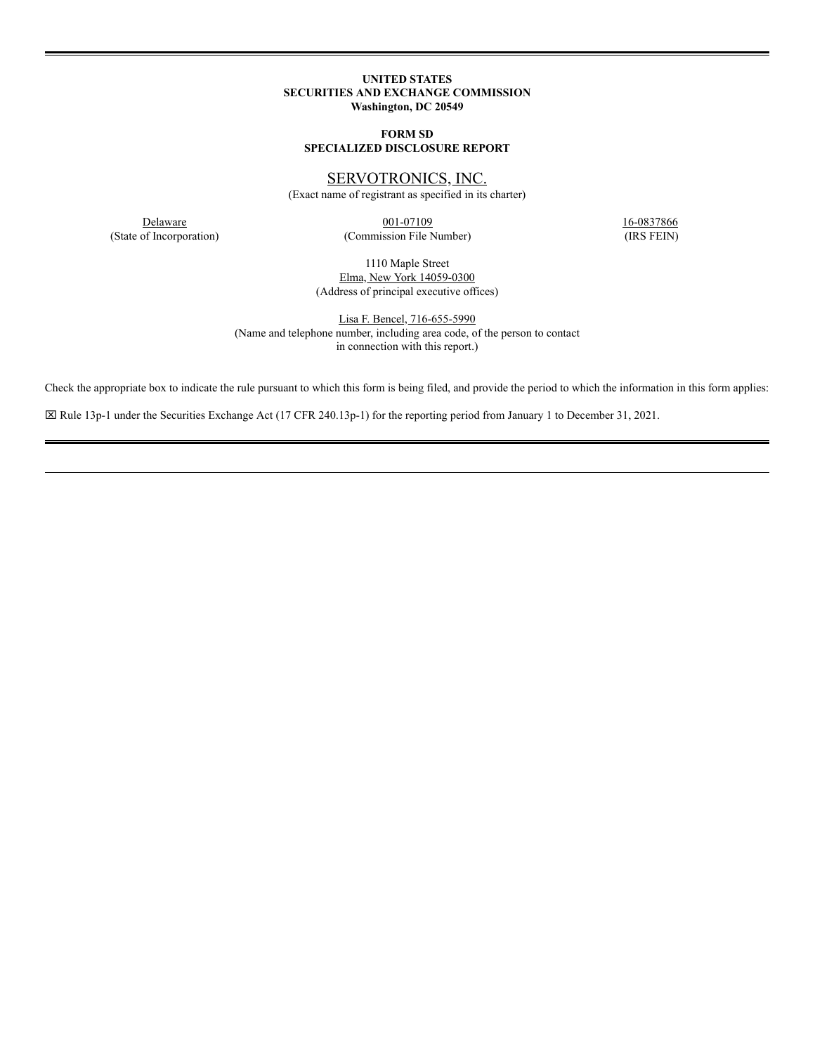## **UNITED STATES SECURITIES AND EXCHANGE COMMISSION Washington, DC 20549**

# **FORM SD SPECIALIZED DISCLOSURE REPORT**

SERVOTRONICS, INC.

(Exact name of registrant as specified in its charter)

**Delaware** 16-0837866 **16-0837866 16-0837866** (State of Incorporation) (Commission File Number) (IRS FEIN)

1110 Maple Street Elma, New York 14059-0300 (Address of principal executive offices)

Lisa F. Bencel, 716-655-5990 (Name and telephone number, including area code, of the person to contact in connection with this report.)

Check the appropriate box to indicate the rule pursuant to which this form is being filed, and provide the period to which the information in this form applies:

x Rule 13p-1 under the Securities Exchange Act (17 CFR 240.13p-1) for the reporting period from January 1 to December 31, 2021.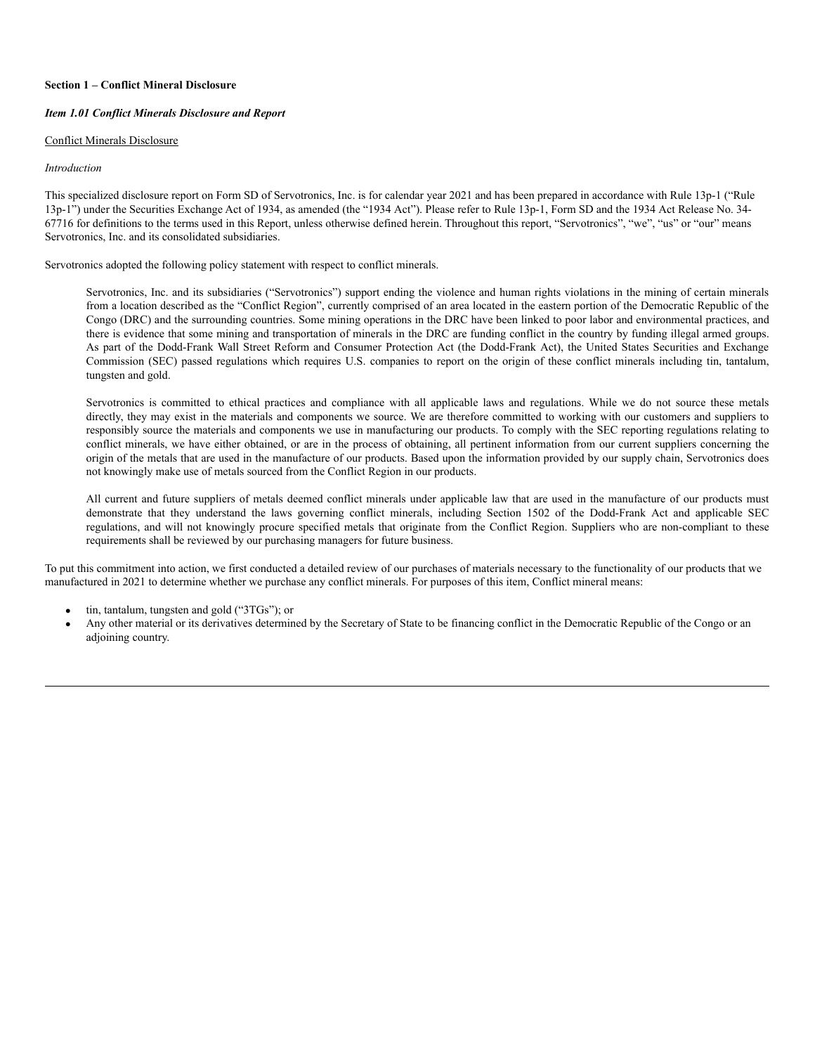### **Section 1 – Conflict Mineral Disclosure**

### *Item 1.01 Conflict Minerals Disclosure and Report*

#### Conflict Minerals Disclosure

#### *Introduction*

This specialized disclosure report on Form SD of Servotronics, Inc. is for calendar year 2021 and has been prepared in accordance with Rule 13p-1 ("Rule 13p-1") under the Securities Exchange Act of 1934, as amended (the "1934 Act"). Please refer to Rule 13p-1, Form SD and the 1934 Act Release No. 34- 67716 for definitions to the terms used in this Report, unless otherwise defined herein. Throughout this report, "Servotronics", "we", "us" or "our" means Servotronics, Inc. and its consolidated subsidiaries.

Servotronics adopted the following policy statement with respect to conflict minerals.

Servotronics, Inc. and its subsidiaries ("Servotronics") support ending the violence and human rights violations in the mining of certain minerals from a location described as the "Conflict Region", currently comprised of an area located in the eastern portion of the Democratic Republic of the Congo (DRC) and the surrounding countries. Some mining operations in the DRC have been linked to poor labor and environmental practices, and there is evidence that some mining and transportation of minerals in the DRC are funding conflict in the country by funding illegal armed groups. As part of the Dodd-Frank Wall Street Reform and Consumer Protection Act (the Dodd-Frank Act), the United States Securities and Exchange Commission (SEC) passed regulations which requires U.S. companies to report on the origin of these conflict minerals including tin, tantalum, tungsten and gold.

Servotronics is committed to ethical practices and compliance with all applicable laws and regulations. While we do not source these metals directly, they may exist in the materials and components we source. We are therefore committed to working with our customers and suppliers to responsibly source the materials and components we use in manufacturing our products. To comply with the SEC reporting regulations relating to conflict minerals, we have either obtained, or are in the process of obtaining, all pertinent information from our current suppliers concerning the origin of the metals that are used in the manufacture of our products. Based upon the information provided by our supply chain, Servotronics does not knowingly make use of metals sourced from the Conflict Region in our products.

All current and future suppliers of metals deemed conflict minerals under applicable law that are used in the manufacture of our products must demonstrate that they understand the laws governing conflict minerals, including Section 1502 of the Dodd-Frank Act and applicable SEC regulations, and will not knowingly procure specified metals that originate from the Conflict Region. Suppliers who are non-compliant to these requirements shall be reviewed by our purchasing managers for future business.

To put this commitment into action, we first conducted a detailed review of our purchases of materials necessary to the functionality of our products that we manufactured in 2021 to determine whether we purchase any conflict minerals. For purposes of this item, Conflict mineral means:

- tin, tantalum, tungsten and gold ("3TGs"); or
- · Any other material or its derivatives determined by the Secretary of State to be financing conflict in the Democratic Republic of the Congo or an adjoining country.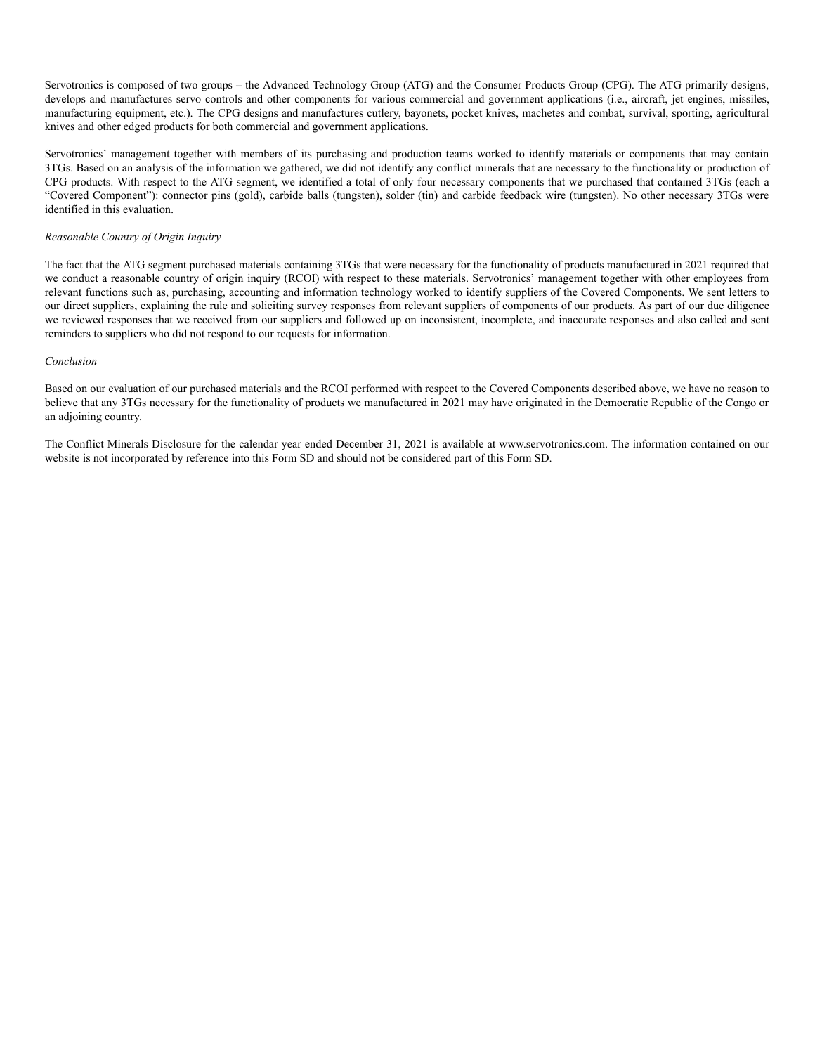Servotronics is composed of two groups – the Advanced Technology Group (ATG) and the Consumer Products Group (CPG). The ATG primarily designs, develops and manufactures servo controls and other components for various commercial and government applications (i.e., aircraft, jet engines, missiles, manufacturing equipment, etc.). The CPG designs and manufactures cutlery, bayonets, pocket knives, machetes and combat, survival, sporting, agricultural knives and other edged products for both commercial and government applications.

Servotronics' management together with members of its purchasing and production teams worked to identify materials or components that may contain 3TGs. Based on an analysis of the information we gathered, we did not identify any conflict minerals that are necessary to the functionality or production of CPG products. With respect to the ATG segment, we identified a total of only four necessary components that we purchased that contained 3TGs (each a "Covered Component"): connector pins (gold), carbide balls (tungsten), solder (tin) and carbide feedback wire (tungsten). No other necessary 3TGs were identified in this evaluation.

### *Reasonable Country of Origin Inquiry*

The fact that the ATG segment purchased materials containing 3TGs that were necessary for the functionality of products manufactured in 2021 required that we conduct a reasonable country of origin inquiry (RCOI) with respect to these materials. Servotronics' management together with other employees from relevant functions such as, purchasing, accounting and information technology worked to identify suppliers of the Covered Components. We sent letters to our direct suppliers, explaining the rule and soliciting survey responses from relevant suppliers of components of our products. As part of our due diligence we reviewed responses that we received from our suppliers and followed up on inconsistent, incomplete, and inaccurate responses and also called and sent reminders to suppliers who did not respond to our requests for information.

#### *Conclusion*

Based on our evaluation of our purchased materials and the RCOI performed with respect to the Covered Components described above, we have no reason to believe that any 3TGs necessary for the functionality of products we manufactured in 2021 may have originated in the Democratic Republic of the Congo or an adjoining country.

The Conflict Minerals Disclosure for the calendar year ended December 31, 2021 is available at www.servotronics.com. The information contained on our website is not incorporated by reference into this Form SD and should not be considered part of this Form SD.